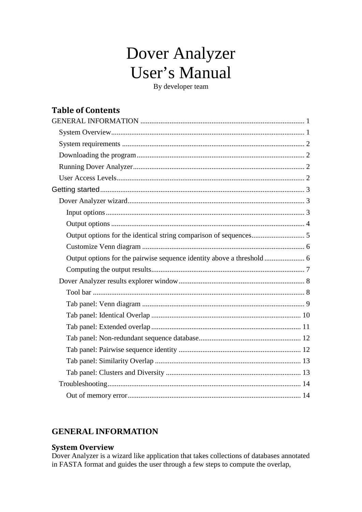# Dover Analyzer **User's Manual**

By developer team

# **Table of Contents**

# <span id="page-0-0"></span>**GENERAL INFORMATION**

### <span id="page-0-1"></span>**System Overview**

Dover Analyzer is a wizard like application that takes collections of databases annotated in FASTA format and guides the user through a few steps to compute the overlap,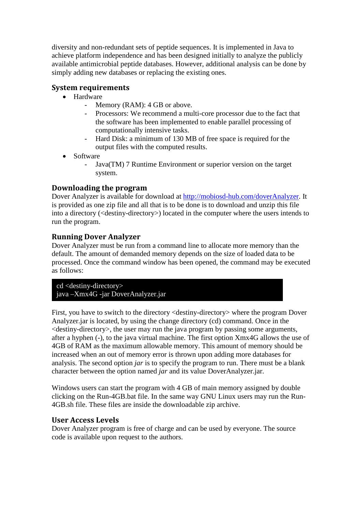diversity and non-redundant sets of peptide sequences. It is implemented in Java to achieve platform independence and has been designed initially to analyze the publicly available antimicrobial peptide databases. However, additional analysis can be done by simply adding new databases or replacing the existing ones.

### <span id="page-1-0"></span>**System requirements**

- Hardware
	- Memory (RAM): 4 GB or above.
	- Processors: We recommend a multi-core processor due to the fact that the software has been implemented to enable parallel processing of computationally intensive tasks.
	- Hard Disk: a minimum of 130 MB of free space is required for the output files with the computed results.
- Software
	- Java(TM) 7 Runtime Environment or superior version on the target system.

### <span id="page-1-1"></span>**Downloading the program**

Dover Analyzer is available for download at [http://mobiosd-hub.com/doverAnalyzer.](http://mobiosd-hub.com/doverAnalyzer) It is provided as one zip file and all that is to be done is to download and unzip this file into a directory (<destiny-directory>) located in the computer where the users intends to run the program.

### <span id="page-1-2"></span>**Running Dover Analyzer**

Dover Analyzer must be run from a command line to allocate more memory than the default. The amount of demanded memory depends on the size of loaded data to be processed. Once the command window has been opened, the command may be executed as follows:

cd <destiny-directory> java –Xmx4G -jar DoverAnalyzer.jar

First, you have to switch to the directory <destiny-directory> where the program Dover Analyzer.jar is located, by using the change directory (cd) command. Once in the  $\le$  destiny-directory $>$ , the user may run the java program by passing some arguments, after a hyphen (-), to the java virtual machine. The first option Xmx4G allows the use of 4GB of RAM as the maximum allowable memory. This amount of memory should be increased when an out of memory error is thrown upon adding more databases for analysis. The second option *jar* is to specify the program to run. There must be a blank character between the option named *jar* and its value DoverAnalyzer.jar.

Windows users can start the program with 4 GB of main memory assigned by double clicking on the Run-4GB.bat file. In the same way GNU Linux users may run the Run-4GB.sh file. These files are inside the downloadable zip archive.

### <span id="page-1-3"></span>**User Access Levels**

Dover Analyzer program is free of charge and can be used by everyone. The source code is available upon request to the authors.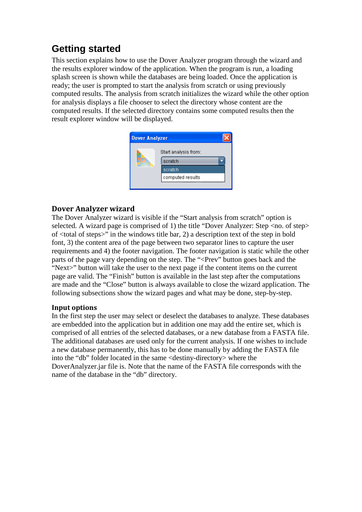# <span id="page-2-0"></span>**Getting started**

This section explains how to use the Dover Analyzer program through the wizard and the results explorer window of the application. When the program is run, a loading splash screen is shown while the databases are being loaded. Once the application is ready; the user is prompted to start the analysis from scratch or using previously computed results. The analysis from scratch initializes the wizard while the other option for analysis displays a file chooser to select the directory whose content are the computed results. If the selected directory contains some computed results then the result explorer window will be displayed.



### <span id="page-2-1"></span>**Dover Analyzer wizard**

The Dover Analyzer wizard is visible if the "Start analysis from scratch" option is selected. A wizard page is comprised of 1) the title "Dover Analyzer: Step <no. of step> of <total of steps>" in the windows title bar, 2) a description text of the step in bold font, 3) the content area of the page between two separator lines to capture the user requirements and 4) the footer navigation. The footer navigation is static while the other parts of the page vary depending on the step. The "<Prev" button goes back and the "Next>" button will take the user to the next page if the content items on the current page are valid. The "Finish" button is available in the last step after the computations are made and the "Close" button is always available to close the wizard application. The following subsections show the wizard pages and what may be done, step-by-step.

### <span id="page-2-2"></span>**Input options**

In the first step the user may select or deselect the databases to analyze. These databases are embedded into the application but in addition one may add the entire set, which is comprised of all entries of the selected databases, or a new database from a FASTA file. The additional databases are used only for the current analysis. If one wishes to include a new database permanently, this has to be done manually by adding the FASTA file into the "db" folder located in the same <destiny-directory> where the DoverAnalyzer.jar file is. Note that the name of the FASTA file corresponds with the name of the database in the "db" directory.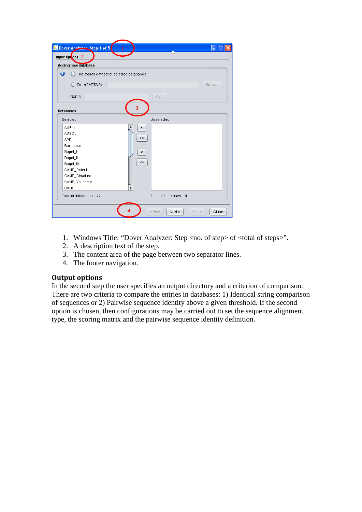| <b>Adding new database</b><br>0           |                         |
|-------------------------------------------|-------------------------|
| The overall dataset of selected databases |                         |
| ◯ From FASTA file:                        | Browse                  |
| Name:                                     | Add                     |
| <b>Databases</b>                          | 3                       |
| Selected:                                 | Unselected:             |
| AMPer                                     | $\geq$                  |
| AMSDb                                     |                         |
| <b>APD</b>                                | >                       |
| Bactibase                                 |                         |
| Bagel_I                                   | $\leq$                  |
| Bagel_II                                  | $<\,<$                  |
| Bagel_III                                 |                         |
| CAMP_Patent                               |                         |
| CAMP_Structure                            |                         |
| CAMP_Validated                            |                         |
| <b>DADP</b>                               | $\overline{\mathbf{v}}$ |

- 1. Windows Title: "Dover Analyzer: Step <no. of step> of <total of steps>".
- 2. A description text of the step.
- 3. The content area of the page between two separator lines.
- 4. The footer navigation.

### <span id="page-3-0"></span>**Output options**

In the second step the user specifies an output directory and a criterion of comparison. There are two criteria to compare the entries in databases: 1) Identical string comparison of sequences or 2) Pairwise sequence identity above a given threshold. If the second option is chosen, then configurations may be carried out to set the sequence alignment type, the scoring matrix and the pairwise sequence identity definition.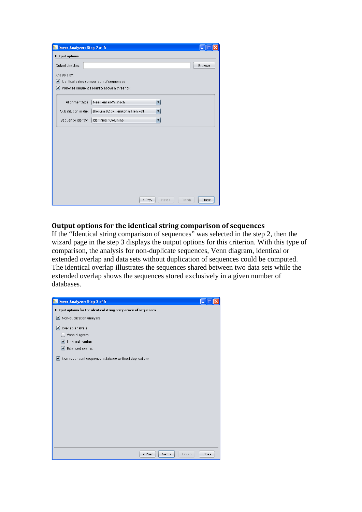| Dover Analyzer: Step 2 of 5              |                                              |        |
|------------------------------------------|----------------------------------------------|--------|
| <b>Output options</b>                    |                                              |        |
| Output directory:                        |                                              | Browse |
| Analysis by:                             |                                              |        |
| Identical string comparison of sequences |                                              |        |
|                                          | Pairwise sequence identity above a threshold |        |
|                                          |                                              |        |
| Alignment type:                          | Needleman-Wunsch<br>$\overline{\mathbf{v}}$  |        |
| Substitution matrix:                     | Blosum 62 by Henikoff & Henikoff<br>▼        |        |
| Sequence identity:                       | Identities / Columns<br>▼                    |        |
|                                          |                                              |        |
|                                          |                                              |        |
|                                          |                                              |        |
|                                          |                                              |        |
|                                          |                                              |        |
|                                          |                                              |        |
|                                          |                                              |        |
|                                          |                                              |        |
|                                          |                                              |        |
|                                          | Next ><br>Finish<br>< Prev                   | Close  |

### <span id="page-4-0"></span>**Output options for the identical string comparison of sequences**

If the "Identical string comparison of sequences" was selected in the step 2, then the wizard page in the step 3 displays the output options for this criterion. With this type of comparison, the analysis for non-duplicate sequences, Venn diagram, identical or extended overlap and data sets without duplication of sequences could be computed. The identical overlap illustrates the sequences shared between two data sets while the extended overlap shows the sequences stored exclusively in a given number of databases.

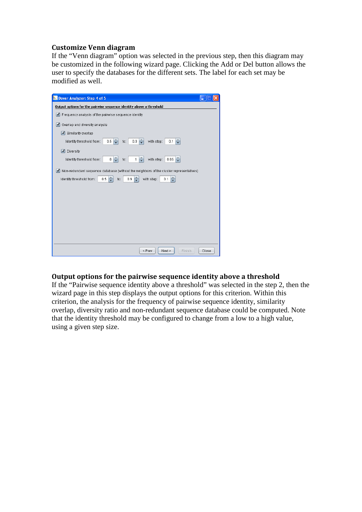### <span id="page-5-0"></span>**Customize Venn diagram**

If the "Venn diagram" option was selected in the previous step, then this diagram may be customized in the following wizard page. Clicking the Add or Del button allows the user to specify the databases for the different sets. The label for each set may be modified as well.



### <span id="page-5-1"></span>**Output options for the pairwise sequence identity above a threshold**

If the "Pairwise sequence identity above a threshold" was selected in the step 2, then the wizard page in this step displays the output options for this criterion. Within this criterion, the analysis for the frequency of pairwise sequence identity, similarity overlap, diversity ratio and non-redundant sequence database could be computed. Note that the identity threshold may be configured to change from a low to a high value, using a given step size.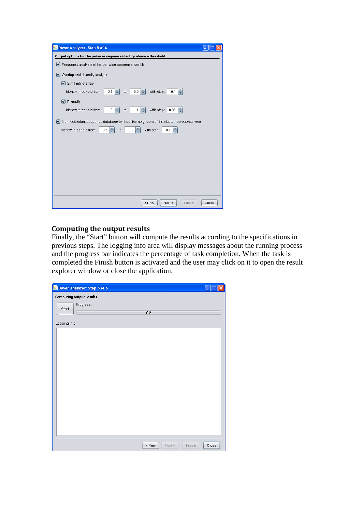| Dover Analyzer: Step 5 of 6                                                                                                                                                                          |
|------------------------------------------------------------------------------------------------------------------------------------------------------------------------------------------------------|
| Output options for the pairwise sequence identity above a threshold                                                                                                                                  |
| Frequency analysis of the pairwise sequence identity                                                                                                                                                 |
| Overlap and diversity analysis<br>$\mathbf{v}$                                                                                                                                                       |
| Similarity overlap                                                                                                                                                                                   |
| $0.5$ $\frac{1}{2}$<br>÷<br>÷<br>0.9 <sub>1</sub><br>with step:<br>Identity threshold from:<br>0.1<br>to:                                                                                            |
| ■ Diversity                                                                                                                                                                                          |
| $0 \frac{1}{r}$<br>$1 \frac{1}{x}$<br>÷<br>with step:<br>Identity threshold from:<br>0.05<br>to:                                                                                                     |
| Non-redundant sequence database (without the neighbors of the cluster representatives)<br>$\sqrt{ }$<br>$0.9$ $\rightarrow$<br>÷<br>÷<br>Identity threshold from:<br>with step:<br>0.5<br>0.1<br>to: |
| Close<br>< Prev<br>Next ><br>Finish                                                                                                                                                                  |

# <span id="page-6-0"></span>**Computing the output results**

Finally, the "Start" button will compute the results according to the specifications in previous steps. The logging info area will display messages about the running process and the progress bar indicates the percentage of task completion. When the task is completed the Finish button is activated and the user may click on it to open the result explorer window or close the application.

|               | Dover Analyzer: Step 6 of 6     |        |        |        | H     |
|---------------|---------------------------------|--------|--------|--------|-------|
|               | <b>Computing output results</b> |        |        |        |       |
|               | Progress:                       |        |        |        |       |
| Start         |                                 | 0%     |        |        |       |
| Logging info: |                                 |        |        |        |       |
|               |                                 |        |        |        |       |
|               |                                 |        |        |        |       |
|               |                                 |        |        |        |       |
|               |                                 |        |        |        |       |
|               |                                 |        |        |        |       |
|               |                                 |        |        |        |       |
|               |                                 |        |        |        |       |
|               |                                 |        |        |        |       |
|               |                                 |        |        |        |       |
|               |                                 |        |        |        |       |
|               |                                 |        |        |        |       |
|               |                                 |        |        |        |       |
|               |                                 |        |        |        |       |
|               |                                 |        |        |        |       |
|               |                                 |        |        |        |       |
|               |                                 |        |        |        |       |
|               |                                 | < Prev | Next > | Finish | Close |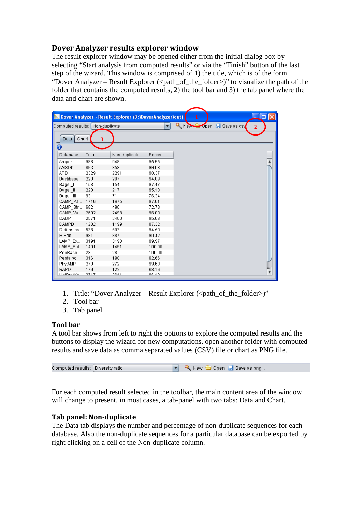### <span id="page-7-0"></span>**Dover Analyzer results explorer window**

The result explorer window may be opened either from the initial dialog box by selecting "Start analysis from computed results" or via the "Finish" button of the last step of the wizard. This window is comprised of 1) the title, which is of the form "Dover Analyzer – Result Explorer ( $\leq$ path of the folder $>$ )" to visualize the path of the folder that contains the computed results, 2) the tool bar and 3) the tab panel where the data and chart are shown.

|                                 |                         | Dover Analyzer - Result Explorer (D:\DoverAnalyzer\out) |         |                      |  |   |
|---------------------------------|-------------------------|---------------------------------------------------------|---------|----------------------|--|---|
| Computed results: Non-duplicate |                         |                                                         | ▼       | New Open Bave as csv |  | 2 |
|                                 |                         |                                                         |         |                      |  |   |
| Data<br>Chart                   | $\overline{\mathbf{3}}$ |                                                         |         |                      |  |   |
| 0                               |                         |                                                         |         |                      |  |   |
| Database                        | Total                   | Non-duplicate                                           | Percent |                      |  |   |
| Amper                           | 988                     | 948                                                     | 95.95   |                      |  |   |
| AMSDb                           | 893                     | 858                                                     | 96.08   |                      |  |   |
| <b>APD</b>                      | 2329                    | 2291                                                    | 98.37   |                      |  |   |
| Bactibase                       | 220                     | 207                                                     | 94.09   |                      |  |   |
| Bagel_I                         | 158                     | 154                                                     | 97.47   |                      |  |   |
| Bagel II                        | 228                     | 217                                                     | 95.18   |                      |  |   |
| Bagel III                       | 93                      | 71                                                      | 76.34   |                      |  |   |
| CAMP_Pa                         | 1716                    | 1675                                                    | 97.61   |                      |  |   |
| CAMP_Str                        | 682                     | 496                                                     | 72.73   |                      |  |   |
| CAMP_Va                         | 2602                    | 2498                                                    | 96.00   |                      |  |   |
| <b>DADP</b>                     | 2571                    | 2460                                                    | 95.68   |                      |  |   |
| <b>DAMPD</b>                    | 1232                    | 1199                                                    | 97.32   |                      |  |   |
| Defensins                       | 536                     | 507                                                     | 94.59   |                      |  |   |
| <b>HIPdb</b>                    | 981                     | 887                                                     | 90.42   |                      |  |   |
| LAMP Ex                         | 3191                    | 3190                                                    | 99.97   |                      |  |   |
| LAMP_Pat                        | 1491                    | 1491                                                    | 100.00  |                      |  |   |
| PenBase                         | 28                      | 28                                                      | 100.00  |                      |  |   |
| Peptaibol                       | 316                     | 198                                                     | 62.66   |                      |  |   |
| PhytAMP                         | 273                     | 272                                                     | 99.63   |                      |  |   |
| <b>RAPD</b>                     | 179                     | 122                                                     | 68.16   |                      |  |   |
| LiniDroti/h                     | 2747                    | 2611                                                    | 08.10   |                      |  |   |

- 1. Title: "Dover Analyzer Result Explorer (<path\_of\_the\_folder>)"
- 2. Tool bar
- 3. Tab panel

### <span id="page-7-1"></span>**Tool bar**

A tool bar shows from left to right the options to explore the computed results and the buttons to display the wizard for new computations, open another folder with computed results and save data as comma separated values (CSV) file or chart as PNG file.

| Computed results:   Diversity ratio |  |  | $\blacktriangleright$ $\blacktriangleright$ New $\bigcirc$ Open $\blacktriangleright$ Save as png |  |
|-------------------------------------|--|--|---------------------------------------------------------------------------------------------------|--|
|-------------------------------------|--|--|---------------------------------------------------------------------------------------------------|--|

For each computed result selected in the toolbar, the main content area of the window will change to present, in most cases, a tab-panel with two tabs: Data and Chart.

### **Tab panel: Non-duplicate**

The Data tab displays the number and percentage of non-duplicate sequences for each database. Also the non-duplicate sequences for a particular database can be exported by right clicking on a cell of the Non-duplicate column.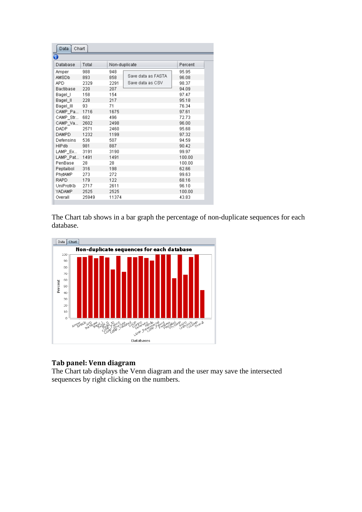| Data<br>Chart |       |               |                    |         |  |  |  |  |  |
|---------------|-------|---------------|--------------------|---------|--|--|--|--|--|
| 0             |       |               |                    |         |  |  |  |  |  |
| Database      | Total | Non-duplicate |                    | Percent |  |  |  |  |  |
| Amper         | 988   | 948           |                    | 95.95   |  |  |  |  |  |
| AMSDb.        | 893   | 858           | Save data as FASTA | 96.08   |  |  |  |  |  |
| <b>APD</b>    | 2329  | 2291          | Save data as CSV   | 98.37   |  |  |  |  |  |
| Bactibase     | 220   | 207           |                    | 94.09   |  |  |  |  |  |
| Bagel I       | 158   | 154           |                    | 97.47   |  |  |  |  |  |
| Bagel II      | 228   | 217           |                    | 95.18   |  |  |  |  |  |
| Bagel III     | 93    | 71            |                    | 76.34   |  |  |  |  |  |
| CAMP Pa…      | 1716  | 1675          |                    | 97.61   |  |  |  |  |  |
| CAMP_Str      | 682   | 496           |                    | 72.73   |  |  |  |  |  |
| CAMP_Va       | 2602  | 2498          |                    | 96.00   |  |  |  |  |  |
| DADP.         | 2571  | 2460          |                    | 95.68   |  |  |  |  |  |
| DAMPD.        | 1232  | 1199          |                    | 97.32   |  |  |  |  |  |
| Defensins     | 536   | 507           |                    | 94.59   |  |  |  |  |  |
| HIPdb         | 981   | 887           |                    | 90.42   |  |  |  |  |  |
| LAMP Ex       | 3191  | 3190          |                    | 99.97   |  |  |  |  |  |
| LAMP Pat      | 1491  | 1491          |                    | 100.00  |  |  |  |  |  |
| PenBase       | 28    | 28            |                    | 100.00  |  |  |  |  |  |
| Peptaibol     | 316   | 198           |                    | 62.66   |  |  |  |  |  |
| PhytAMP       | 273   | 272           |                    | 99.63   |  |  |  |  |  |
| RAPD          | 179   | 122           |                    | 68.16   |  |  |  |  |  |
| UniProtKb     | 2717  | 2611          |                    | 96.10   |  |  |  |  |  |
| <b>YADAMP</b> | 2525  | 2525          |                    | 100.00  |  |  |  |  |  |
| Overall       | 25949 | 11374         |                    | 43.83   |  |  |  |  |  |

The Chart tab shows in a bar graph the percentage of non-duplicate sequences for each database.



### <span id="page-8-0"></span>**Tab panel: Venn diagram**

The Chart tab displays the Venn diagram and the user may save the intersected sequences by right clicking on the numbers.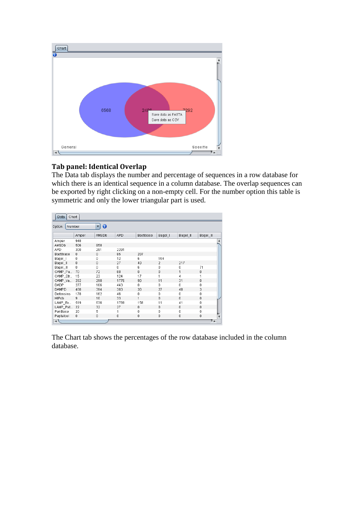

### <span id="page-9-0"></span>**Tab panel: Identical Overlap**

The Data tab displays the number and percentage of sequences in a row database for which there is an identical sequence in a column database. The overlap sequences can be exported by right clicking on a non-empty cell. For the number option this table is symmetric and only the lower triangular part is used.

| Data<br>Chart     |       |                           |            |           |                |             |              |  |  |
|-------------------|-------|---------------------------|------------|-----------|----------------|-------------|--------------|--|--|
| Number<br>Option: |       | 0<br>$\blacktriangledown$ |            |           |                |             |              |  |  |
|                   | Amper | AMSDb                     | <b>APD</b> | Bactibase | Bagel_I        | Bagel_II    | Bagel_III    |  |  |
| Amper             | 948   |                           |            |           |                |             |              |  |  |
| AMSDb             | 506   | 858                       |            |           |                |             |              |  |  |
| APD.              | 300   | 291                       | 2291       |           |                |             |              |  |  |
| Bactibase         | 0     | 0                         | 85         | 207       |                |             |              |  |  |
| Bagel I           | 0     | 0                         | 12         | 6         | 154            |             |              |  |  |
| Bagel_II          | 0     | 0                         | 27         | 40        | $\overline{2}$ | 217         |              |  |  |
| Bagel_III         | 0     | 0                         | 0          | 6         | $\mathbf 0$    | 0           | 71           |  |  |
| CAMP Pa           | 70    | 72                        | 68         | 0         | $\Omega$       | 1           | 0            |  |  |
| CAMP_Str          | 15    | 23                        | 124        | 17        | 1              | 4           | 1            |  |  |
| CAMP_Va           | 292   | 298                       | 1776       | 90        | 11             | 31          | 0            |  |  |
| DADP              | 277   | 166                       | 443        | 0         | 0              | 0           | 0            |  |  |
| DAMPD             | 488   | 394                       | 383        | 30        | 27             | 48          | 3            |  |  |
| Defensins         | 178   | 162                       | 46         | 0         | $\mathbf 0$    | 0           | $\mathbf{0}$ |  |  |
| HIPdb             | 9     | 10                        | 33         | 1         | $\Omega$       | 0           | 0            |  |  |
| LAMP_Ex           | 519   | 636                       | 1769       | 158       | 11             | 41          | 0            |  |  |
| LAMP Pat          | 22    | 32                        | 27         | 0         | $\Omega$       | $\mathbf 0$ | 0            |  |  |
| PenBase           | 20    | 5                         | 1          | 0         | 0              | 0           | 0            |  |  |
| Peptaibol         | 0     | $\mathbf 0$               | 0          | 0         | $\theta$       | $\theta$    | 0            |  |  |
| ⊣ \               |       |                           |            |           |                |             | ۰            |  |  |

The Chart tab shows the percentages of the row database included in the column database.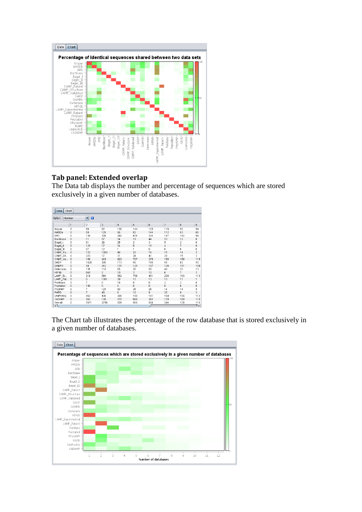

### <span id="page-10-0"></span>**Tab panel: Extended overlap**

The Data tab displays the number and percentage of sequences which are stored exclusively in a given number of databases.

| Data<br>Chart<br>$\vert$<br>$\bullet$<br>Number<br>Option: |              |      |                |     |                           |                         |              |                |                           |
|------------------------------------------------------------|--------------|------|----------------|-----|---------------------------|-------------------------|--------------|----------------|---------------------------|
|                                                            |              |      |                |     |                           |                         |              |                |                           |
| Amper                                                      | n            | 90   | 82             | 130 | 144                       | 125                     | 110          | 52             | 94                        |
| AMSDb                                                      | $\bf{0}$     | 50   | 126            | 96  | 93                        | 144                     | 112          | 53             | 66                        |
| APD                                                        | n            | 139  | 338            | 292 | 676                       | 334                     | 147          | 142            | 99                        |
| Bactibase                                                  | 0            | 11   | 57             | 34  | 19                        | 44                      | 23           | 12             | 6                         |
| Bagel I                                                    | 0            | 91   | 26             | 25  | 2                         | $\overline{\mathbf{3}}$ | 5            | $\overline{2}$ | 0                         |
| Bagel II                                                   | 0            | 125  | 17             | 34  | 8                         | 15                      | 4            | 7              | 6                         |
| Bagel_III                                                  | n            | 57   | 12             | 1   | 1                         | $\mathbf{u}$            | 0            | $\bf{0}$       | 0                         |
| CAMP_Pa                                                    | 0            | 122  | 1392           | 46  | 22                        | 16                      | 15           | 14             | $\overline{2}$            |
| CAMP Str                                                   | 0            | 323  | 17             | 31  | 24                        | 41                      | 29           | 15             | 3                         |
| CAMP_Va                                                    | n            | 189  | 248            | 423 | 707                       | 375                     | 158          | 158            | 115                       |
| DADP                                                       | O            | 1620 | 200            | 113 | 56                        | 195                     | 58           | 82             | 55                        |
| DAMPD                                                      | n            | 30   | 242            | 171 | 125                       | 107                     | 138          | 151            | 109                       |
| Defensins                                                  | n            | 131  | 118            | 65  | 30                        | 50                      | 49           | 23             | 13                        |
| HIPdb                                                      | $\theta$     | 840  | $\overline{2}$ | 10  | $\overline{\overline{3}}$ | 10                      | 6            | $\overline{7}$ | 3                         |
| LAMP Ex                                                    | 0            | 219  | 594            | 562 | 759                       | 451                     | 208          | 163            | 113                       |
| LAMP_Pat                                                   | $\bf{0}$     | Ō.   | 1391           | 39  | 17                        | 13                      | 13           | 11             | $\mathbf{1}$              |
| PenBase                                                    | 0            | 7    | 0              | 16  | 0                         | 0                       | 2            | $\overline{2}$ | 0                         |
| Peptaibol                                                  | n            | 198  | $\Omega$       | n.  | $\mathbf{u}$              | $\mathbf{u}$            | $\mathbf{r}$ | $\mathbf{0}$   | $\bf 0$                   |
| PhytAMP                                                    | n            | 7    | 121            | 43  | 35                        | 25                      | 14           | 14             | 5                         |
| RAPD                                                       | $\theta$     | 7    | 45             | 6   | 10                        | 9                       | 25           | 9              | $\overline{\overline{3}}$ |
| UniProtKb                                                  | 0            | 953  | 430            | 305 | 180                       | 181                     | 169          | 155            | 112                       |
| YADAMP                                                     | $\mathsf{n}$ | 362  | 138            | 375 | 689                       | 382                     | 179          | 160            | 115                       |
| Overall                                                    | 0            | 5571 | 2798           | 939 | 900                       | 504                     | 244          | 176            | 115<br>٠.                 |

The Chart tab illustrates the percentage of the row database that is stored exclusively in a given number of databases.

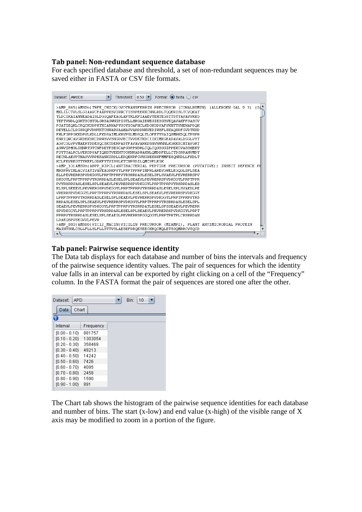#### <span id="page-11-0"></span>**Tab panel: Non-redundant sequence database**

For each specified database and threshold, a set of non-redundant sequences may be saved either in FASTA or CSV file formats.

| Dataset: | AMSDb                                                                                  | ▼ | Threshold: | $0.50$ $\blacktriangledown$ | Format: $\bigcirc$ fasta $\bigcirc$ csv |  |  |         |
|----------|----------------------------------------------------------------------------------------|---|------------|-----------------------------|-----------------------------------------|--|--|---------|
|          | >AMP_865 AMSDb TRFE_CHICK OVOTRANSFERRIN PRECURSOR (CONALBUMIN) (ALLERGEN GAL D 3)     |   |            |                             |                                         |  |  | $(GL^*$ |
|          | MKLILCTVLSLGIAAVCFAAPPKSVIRWCTISSPEEKKCNNLRDLTOOERISLTCVOKAT                           |   |            |                             |                                         |  |  |         |
|          | YLDCIKAIANNEADAISLDGGOAFEAGLAPYKLKPIAAEVYEHTEGSTTSYYAVAVVKKG                           |   |            |                             |                                         |  |  |         |
|          | TEFTVNDLQGKTSCHTGLGRSAGWNIPIGTLLHRGAIEWEGIESGSVEQAVAKFFSASCV                           |   |            |                             |                                         |  |  |         |
|          | PGATIEOKLCROCKGDPKTKCARNAPYSGYSGAFHCLKDGKGDVAFVKHTTVNENAPDOK                           |   |            |                             |                                         |  |  |         |
|          | DEYELLCLDGSROPVDNYKTCNWARVAAHAVVARDDNKVEDIWSFLSKAQSDFGVDTKSD                           |   |            |                             |                                         |  |  |         |
|          | FHLFGPPGKKDPVLKDLLFKDSAIMLKRVPSLMDSQLYLGFEYYSAIQSMRKDQLTPSPR                           |   |            |                             |                                         |  |  |         |
|          | ENRIOUCAVGKDEKSKCDRUSVVSNGDVECTVVDETKDCIIKIMKGEADAVALDGGLVYT                           |   |            |                             |                                         |  |  |         |
|          | AGVCGLVPVMAERYDDESQCSKTDERPASYFAVAVARKDSNVNWNNLKGKKSCHTAVGRT                           |   |            |                             |                                         |  |  |         |
|          | AGWVIPMGLIHNRTGTCNFDEYFSEGCAPGSPPNSRLCQLCQGSGGIPPEKCVASSHEKY                           |   |            |                             |                                         |  |  |         |
|          | FGYTGALRCLVEKGDVAFIOHSTVEENTGGKNKADWAKNLOMDDFELLCTDGRRANVMDY                           |   |            |                             |                                         |  |  |         |
|          | RECNLAEVPTHAVVVRPEKANKIRDLLEROEKRFGVNGSEKSKFMMFESONKDLLFKDLT                           |   |            |                             |                                         |  |  |         |
|          | KCLFKVREGTTYKEFLGDKFYTVISSLKTCNPSDILOMCSFLEGK                                          |   |            |                             |                                         |  |  |         |
|          | >AMP 10 AMSDb ABPP RIPCL ANTIBACTERIAL PEPTIDE PRECURSOR (PUTATIVE); INSECT DEFENCE PI |   |            |                             |                                         |  |  |         |
|          | MRSPRVIHLACVIAYIVAVEAGDKPVYLPRPTPPRPIHPRLAREVGWELEGOGLSPLSEA                           |   |            |                             |                                         |  |  |         |
|          | ELLPEVRERRSPVDKGGYLPRPTPPRPVYRSRRDASLESELSPLSVAEVLPEVRERRSPV                           |   |            |                             |                                         |  |  |         |
|          | DKGGYLPRPTPPRPVYRSRRDASLESELSPLSEAEVLPEVRERRSPVDKGGYLPRPTPPR                           |   |            |                             |                                         |  |  |         |
|          | PVYRSRRVASLESELSPLSEAEVLPEVRERRSPVDKGGYLPRPTPPRPVYRSRRDASLES                           |   |            |                             |                                         |  |  |         |
|          | ELSPLSEEEVLPEVRERGSPVDKGGYLPRPTPPRPVYRSRRDASLESELSPLSVAEDLPE                           |   |            |                             |                                         |  |  |         |
|          | VRERRSPVDKGGYLPRPTPPRPVYRSRRDASLESELSPLSEAEVLPEVRERRSPVDKGGY                           |   |            |                             |                                         |  |  |         |
|          | LPRPTPPRPVYRSRRDASLESELSPLSEAEVLPEVRERRSPVDKGGYLPRPTPPRPVYRS                           |   |            |                             |                                         |  |  |         |
|          | RRDASLESELSPLSEAEVLPEVRERRSPVDKGGYLPRPTPPRPVYRSRRDASLESELSPL                           |   |            |                             |                                         |  |  |         |
|          | SEAEVLPEVRERRSPVDKGGYLPRPTPPRPVYRSRRDATLESELSPSSEAEVLPEVRERR                           |   |            |                             |                                         |  |  |         |
|          | SPVDKGGYLPRPTPPRPVYRSRRDASLESELSPLSEAEVLPEVRERRSPVDKGGYLPRPT                           |   |            |                             |                                         |  |  |         |
|          | PPRPVYRSRRDASLESELSPLSEAEGLPEVRERRSPGGOGGYLPRPTPRTPLCRSRRDAN                           |   |            |                             |                                         |  |  |         |
|          | LDAEOSPVSEGVVLPEVR                                                                     |   |            |                             |                                         |  |  |         |
|          | >AMP 880 AMSDb VIC12 MACIN VICILIN PRECURSOR (MIAMP2), PLANT ANTIMICROBIAL PROTEIN     |   |            |                             |                                         |  |  |         |
|          | MAINTSNLCSLLFLLSLFLLSTTVSLAESEFDRQEYEECKRQCMQLETSGQMRRCVSQCD                           |   |            |                             |                                         |  |  |         |
| ⊣ \      |                                                                                        |   |            |                             |                                         |  |  |         |

### <span id="page-11-1"></span>**Tab panel: Pairwise sequence identity**

The Data tab displays for each database and number of bins the intervals and frequency of the pairwise sequence identity values. The pair of sequences for which the identity value falls in an interval can be exported by right clicking on a cell of the "Frequency" column. In the FASTA format the pair of sequences are stored one after the other.

| Dataset:<br><b>APD</b> |           | 10<br>Bin: |  |
|------------------------|-----------|------------|--|
| Data<br>Chart          |           |            |  |
|                        |           |            |  |
| Interval               | Frequency |            |  |
| $[0.00 - 0.10)$        | 881757    |            |  |
| $[0.10 - 0.20)$        | 1303054   |            |  |
| $[0.20 - 0.30)$        | 358469    |            |  |
| $[0.30 - 0.40]$        | 49213     |            |  |
| $[0.40 - 0.50)$        | 14242     |            |  |
| $[0.50 - 0.60)$        | 7426      |            |  |
| $[0.60 - 0.70)$        | 4095      |            |  |
| $[0.70 - 0.80)$        | 2458      |            |  |
| $[0.80 - 0.90)$        | 1590      |            |  |
| $[0.90 - 1.00)$        | 891       |            |  |
|                        |           |            |  |

The Chart tab shows the histogram of the pairwise sequence identities for each database and number of bins. The start  $(x$ -low) and end value  $(x$ -high) of the visible range of X axis may be modified to zoom in a portion of the figure.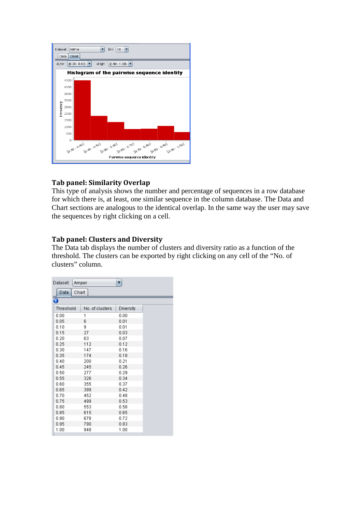

### <span id="page-12-0"></span>**Tab panel: Similarity Overlap**

This type of analysis shows the number and percentage of sequences in a row database for which there is, at least, one similar sequence in the column database. The Data and Chart sections are analogous to the identical overlap. In the same way the user may save the sequences by right clicking on a cell.

### <span id="page-12-1"></span>**Tab panel: Clusters and Diversity**

The Data tab displays the number of clusters and diversity ratio as a function of the threshold. The clusters can be exported by right clicking on any cell of the "No. of clusters" column.

| Dataset: |           | Amper |                 | $\blacktriangledown$ |  |
|----------|-----------|-------|-----------------|----------------------|--|
|          | Data      | Chart |                 |                      |  |
| G        |           |       |                 |                      |  |
|          | Threshold |       | No. of clusters | <b>Diversity</b>     |  |
|          | 0.00      |       | 1               | 0.00                 |  |
|          | 0.05      |       | 6               | 0.01                 |  |
|          | 0.10      |       | g               | 0.01                 |  |
|          | 0.15      |       | 27              | 0.03                 |  |
|          | 0.20      |       | 63              | 0.07                 |  |
|          | 0.25      |       | 112             | 0.12                 |  |
|          | 0.30      |       | 147             | 0.16                 |  |
|          | 0.35      |       | 174             | 0.18                 |  |
|          | 0.40      |       | 200             | 0.21                 |  |
|          | 0.45      |       | 245             | 0.26                 |  |
|          | 0.50      |       | 277             | 0.29                 |  |
|          | 0.55      |       | 326             | 0.34                 |  |
|          | 0.60      |       | 355             | 0.37                 |  |
|          | 0.65      |       | 399             | 0.42                 |  |
|          | 0.70      |       | 452             | 0.48                 |  |
|          | 0.75      |       | 499             | 0.53                 |  |
|          | 0.80      |       | 553             | 0.58                 |  |
|          | 0.85      |       | 615             | 0.65                 |  |
|          | 0.90      |       | 678             | 0.72                 |  |
|          | 0.95      |       | 790             | 0.83                 |  |
|          | 1.00      |       | 948             | 1.00                 |  |